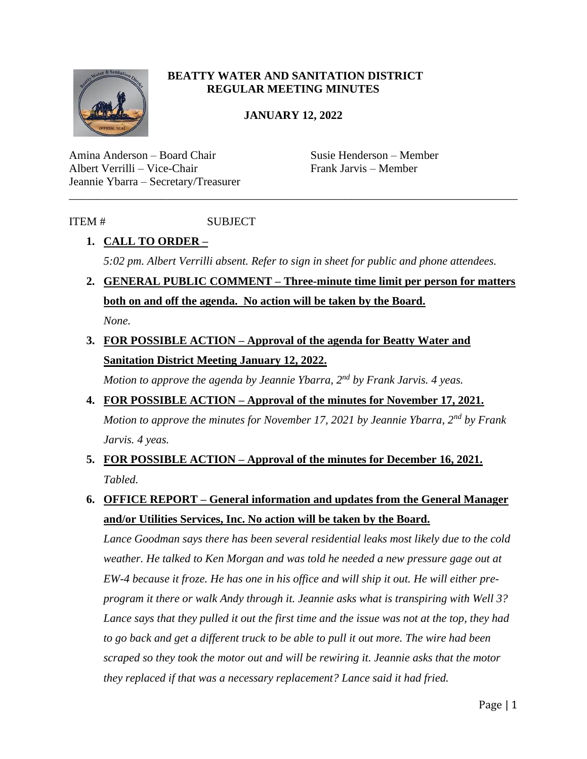

#### **BEATTY WATER AND SANITATION DISTRICT REGULAR MEETING MINUTES**

#### **JANUARY 12, 2022**

\_\_\_\_\_\_\_\_\_\_\_\_\_\_\_\_\_\_\_\_\_\_\_\_\_\_\_\_\_\_\_\_\_\_\_\_\_\_\_\_\_\_\_\_\_\_\_\_\_\_\_\_\_\_\_\_\_\_\_\_\_\_\_\_\_\_\_\_\_\_\_\_\_\_\_\_\_\_

Amina Anderson – Board Chair Susie Henderson – Member Albert Verrilli – Vice-Chair Frank Jarvis – Member Jeannie Ybarra – Secretary/Treasurer

#### ITEM # SUBJECT

## **1. CALL TO ORDER –** *5:02 pm. Albert Verrilli absent. Refer to sign in sheet for public and phone attendees.*

- **2. GENERAL PUBLIC COMMENT – Three-minute time limit per person for matters both on and off the agenda. No action will be taken by the Board.** *None.*
- **3. FOR POSSIBLE ACTION – Approval of the agenda for Beatty Water and Sanitation District Meeting January 12, 2022.**

*Motion to approve the agenda by Jeannie Ybarra, 2nd by Frank Jarvis. 4 yeas.* 

- **4. FOR POSSIBLE ACTION – Approval of the minutes for November 17, 2021.** *Motion to approve the minutes for November 17, 2021 by Jeannie Ybarra, 2nd by Frank Jarvis. 4 yeas.*
- **5. FOR POSSIBLE ACTION – Approval of the minutes for December 16, 2021.** *Tabled.*
- **6. OFFICE REPORT – General information and updates from the General Manager and/or Utilities Services, Inc. No action will be taken by the Board.**

*Lance Goodman says there has been several residential leaks most likely due to the cold weather. He talked to Ken Morgan and was told he needed a new pressure gage out at EW-4 because it froze. He has one in his office and will ship it out. He will either preprogram it there or walk Andy through it. Jeannie asks what is transpiring with Well 3? Lance says that they pulled it out the first time and the issue was not at the top, they had to go back and get a different truck to be able to pull it out more. The wire had been scraped so they took the motor out and will be rewiring it. Jeannie asks that the motor they replaced if that was a necessary replacement? Lance said it had fried.*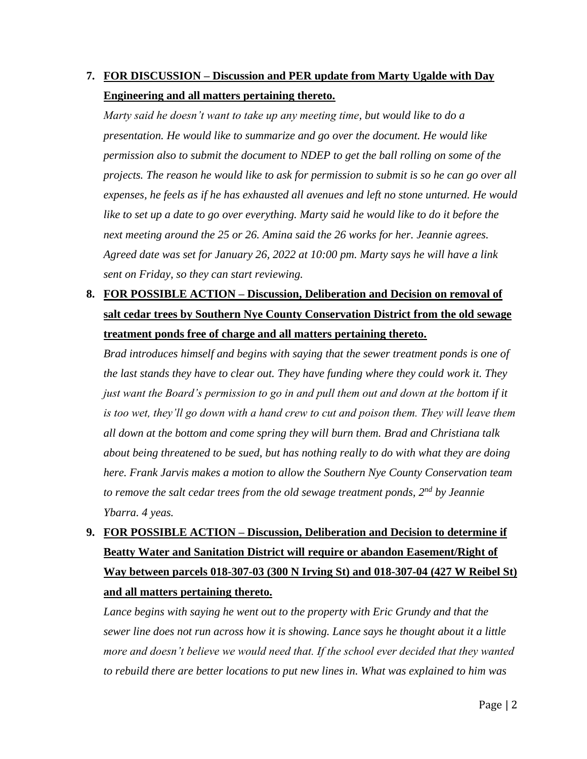## **7. FOR DISCUSSION – Discussion and PER update from Marty Ugalde with Day Engineering and all matters pertaining thereto.**

*Marty said he doesn't want to take up any meeting time, but would like to do a presentation. He would like to summarize and go over the document. He would like permission also to submit the document to NDEP to get the ball rolling on some of the projects. The reason he would like to ask for permission to submit is so he can go over all expenses, he feels as if he has exhausted all avenues and left no stone unturned. He would*  like to set up a date to go over everything. Marty said he would like to do it before the *next meeting around the 25 or 26. Amina said the 26 works for her. Jeannie agrees. Agreed date was set for January 26, 2022 at 10:00 pm. Marty says he will have a link sent on Friday, so they can start reviewing.* 

## **8. FOR POSSIBLE ACTION – Discussion, Deliberation and Decision on removal of salt cedar trees by Southern Nye County Conservation District from the old sewage treatment ponds free of charge and all matters pertaining thereto.**

*Brad introduces himself and begins with saying that the sewer treatment ponds is one of the last stands they have to clear out. They have funding where they could work it. They just want the Board's permission to go in and pull them out and down at the bottom if it*  is too wet, they'll go down with a hand crew to cut and poison them. They will leave them *all down at the bottom and come spring they will burn them. Brad and Christiana talk about being threatened to be sued, but has nothing really to do with what they are doing here. Frank Jarvis makes a motion to allow the Southern Nye County Conservation team to remove the salt cedar trees from the old sewage treatment ponds, 2nd by Jeannie Ybarra. 4 yeas.* 

# **9. FOR POSSIBLE ACTION – Discussion, Deliberation and Decision to determine if Beatty Water and Sanitation District will require or abandon Easement/Right of Way between parcels 018-307-03 (300 N Irving St) and 018-307-04 (427 W Reibel St) and all matters pertaining thereto.**

*Lance begins with saying he went out to the property with Eric Grundy and that the sewer line does not run across how it is showing. Lance says he thought about it a little more and doesn't believe we would need that. If the school ever decided that they wanted to rebuild there are better locations to put new lines in. What was explained to him was*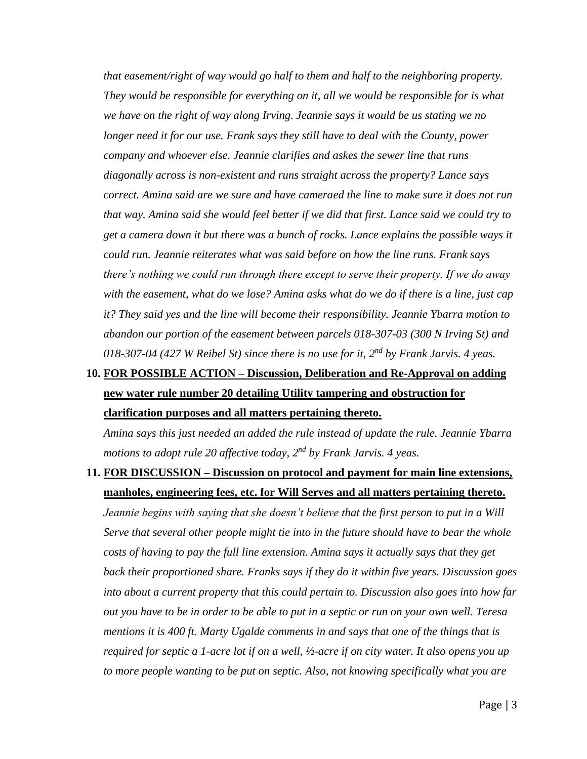*that easement/right of way would go half to them and half to the neighboring property. They would be responsible for everything on it, all we would be responsible for is what we have on the right of way along Irving. Jeannie says it would be us stating we no longer need it for our use. Frank says they still have to deal with the County, power company and whoever else. Jeannie clarifies and askes the sewer line that runs diagonally across is non-existent and runs straight across the property? Lance says correct. Amina said are we sure and have cameraed the line to make sure it does not run that way. Amina said she would feel better if we did that first. Lance said we could try to get a camera down it but there was a bunch of rocks. Lance explains the possible ways it could run. Jeannie reiterates what was said before on how the line runs. Frank says there's nothing we could run through there except to serve their property. If we do away with the easement, what do we lose? Amina asks what do we do if there is a line, just cap it? They said yes and the line will become their responsibility. Jeannie Ybarra motion to abandon our portion of the easement between parcels 018-307-03 (300 N Irving St) and 018-307-04 (427 W Reibel St) since there is no use for it, 2nd by Frank Jarvis. 4 yeas.* 

## **10. FOR POSSIBLE ACTION – Discussion, Deliberation and Re-Approval on adding new water rule number 20 detailing Utility tampering and obstruction for clarification purposes and all matters pertaining thereto.**

*Amina says this just needed an added the rule instead of update the rule. Jeannie Ybarra motions to adopt rule 20 affective today, 2nd by Frank Jarvis. 4 yeas.* 

### **11. FOR DISCUSSION – Discussion on protocol and payment for main line extensions, manholes, engineering fees, etc. for Will Serves and all matters pertaining thereto.**

*Jeannie begins with saying that she doesn't believe that the first person to put in a Will Serve that several other people might tie into in the future should have to bear the whole costs of having to pay the full line extension. Amina says it actually says that they get back their proportioned share. Franks says if they do it within five years. Discussion goes into about a current property that this could pertain to. Discussion also goes into how far out you have to be in order to be able to put in a septic or run on your own well. Teresa mentions it is 400 ft. Marty Ugalde comments in and says that one of the things that is required for septic a 1-acre lot if on a well, ½-acre if on city water. It also opens you up to more people wanting to be put on septic. Also, not knowing specifically what you are*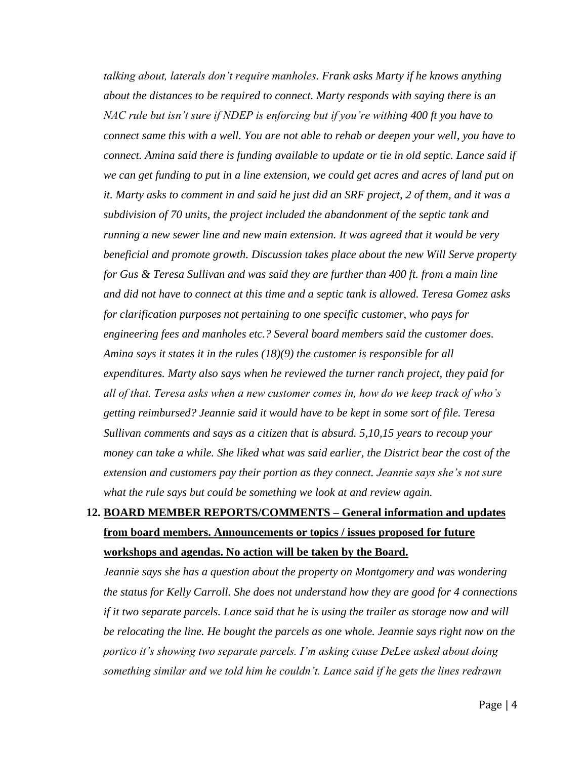*talking about, laterals don't require manholes. Frank asks Marty if he knows anything about the distances to be required to connect. Marty responds with saying there is an NAC rule but isn't sure if NDEP is enforcing but if you're withing 400 ft you have to connect same this with a well. You are not able to rehab or deepen your well, you have to connect. Amina said there is funding available to update or tie in old septic. Lance said if we can get funding to put in a line extension, we could get acres and acres of land put on it. Marty asks to comment in and said he just did an SRF project, 2 of them, and it was a subdivision of 70 units, the project included the abandonment of the septic tank and running a new sewer line and new main extension. It was agreed that it would be very beneficial and promote growth. Discussion takes place about the new Will Serve property for Gus & Teresa Sullivan and was said they are further than 400 ft. from a main line and did not have to connect at this time and a septic tank is allowed. Teresa Gomez asks for clarification purposes not pertaining to one specific customer, who pays for engineering fees and manholes etc.? Several board members said the customer does. Amina says it states it in the rules (18)(9) the customer is responsible for all expenditures. Marty also says when he reviewed the turner ranch project, they paid for all of that. Teresa asks when a new customer comes in, how do we keep track of who's getting reimbursed? Jeannie said it would have to be kept in some sort of file. Teresa Sullivan comments and says as a citizen that is absurd. 5,10,15 years to recoup your money can take a while. She liked what was said earlier, the District bear the cost of the extension and customers pay their portion as they connect. Jeannie says she's not sure what the rule says but could be something we look at and review again.* 

## **12. BOARD MEMBER REPORTS/COMMENTS – General information and updates from board members. Announcements or topics / issues proposed for future workshops and agendas. No action will be taken by the Board.**

*Jeannie says she has a question about the property on Montgomery and was wondering the status for Kelly Carroll. She does not understand how they are good for 4 connections if it two separate parcels. Lance said that he is using the trailer as storage now and will be relocating the line. He bought the parcels as one whole. Jeannie says right now on the portico it's showing two separate parcels. I'm asking cause DeLee asked about doing something similar and we told him he couldn't. Lance said if he gets the lines redrawn*